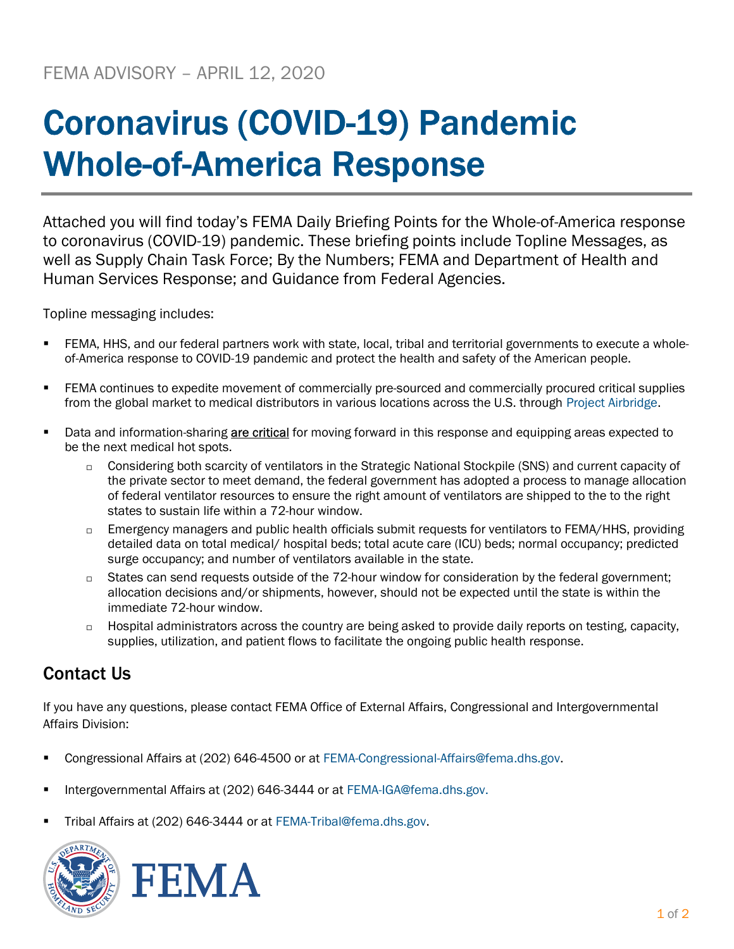## Coronavirus (COVID-19) Pandemic Whole-of-America Response

Attached you will find today's FEMA Daily Briefing Points for the Whole-of-America response to coronavirus (COVID-19) pandemic. These briefing points include Topline Messages, as well as Supply Chain Task Force; By the Numbers; FEMA and Department of Health and Human Services Response; and Guidance from Federal Agencies.

Topline messaging includes:

- FEMA, HHS, and our federal partners work with state, local, tribal and territorial governments to execute a wholeof-America response to COVID-19 pandemic and protect the health and safety of the American people.
- **FEMA continues to expedite movement of commercially pre-sourced and commercially procured critical supplies** from the global market to medical distributors in various locations across the U.S. through Project Airbridge.
- Data and information-sharing are critical for moving forward in this response and equipping areas expected to be the next medical hot spots.
	- □ Considering both scarcity of ventilators in the Strategic National Stockpile (SNS) and current capacity of the private sector to meet demand, the federal government has adopted a process to manage allocation of federal ventilator resources to ensure the right amount of ventilators are shipped to the to the right states to sustain life within a 72-hour window.
	- $\Box$  Emergency managers and public health officials submit requests for ventilators to FEMA/HHS, providing detailed data on total medical/ hospital beds; total acute care (ICU) beds; normal occupancy; predicted surge occupancy; and number of ventilators available in the state.
	- States can send requests outside of the 72-hour window for consideration by the federal government; allocation decisions and/or shipments, however, should not be expected until the state is within the immediate 72-hour window.
	- Hospital administrators across the country are being asked to provide daily reports on testing, capacity, supplies, utilization, and patient flows to facilitate the ongoing public health response.

## Contact Us

If you have any questions, please contact FEMA Office of External Affairs, Congressional and Intergovernmental Affairs Division:

- Congressional Affairs at (202) 646-4500 or at FEMA-Congressional-Affairs@fema.dhs.gov.
- Intergovernmental Affairs at (202) 646-3444 or at FEMA-IGA@fema.dhs.gov.
- Tribal Affairs at (202) 646-3444 or at FEMA-Tribal@fema.dhs.gov.